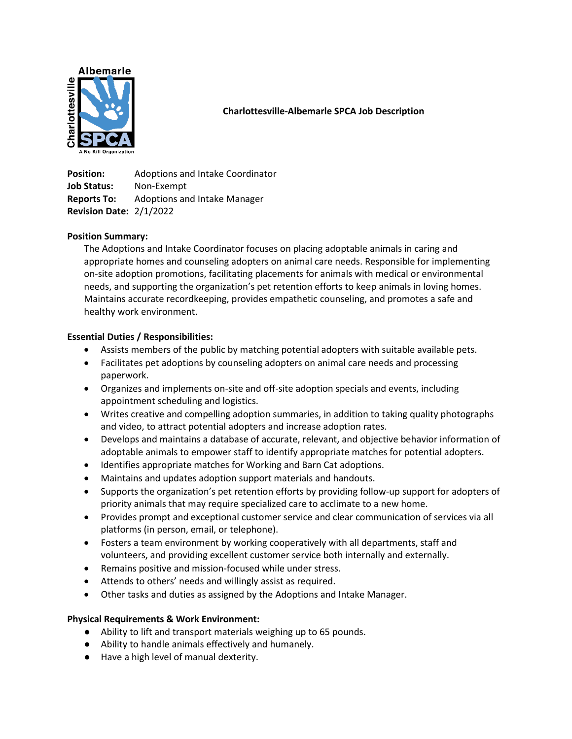

# **Charlottesville-Albemarle SPCA Job Description**

**Position:** Adoptions and Intake Coordinator **Job Status:** Non-Exempt **Reports To:** Adoptions and Intake Manager **Revision Date:** 2/1/2022

# **Position Summary:**

The Adoptions and Intake Coordinator focuses on placing adoptable animals in caring and appropriate homes and counseling adopters on animal care needs. Responsible for implementing on-site adoption promotions, facilitating placements for animals with medical or environmental needs, and supporting the organization's pet retention efforts to keep animals in loving homes. Maintains accurate recordkeeping, provides empathetic counseling, and promotes a safe and healthy work environment.

# **Essential Duties / Responsibilities:**

- Assists members of the public by matching potential adopters with suitable available pets.
- Facilitates pet adoptions by counseling adopters on animal care needs and processing paperwork.
- Organizes and implements on-site and off-site adoption specials and events, including appointment scheduling and logistics.
- Writes creative and compelling adoption summaries, in addition to taking quality photographs and video, to attract potential adopters and increase adoption rates.
- Develops and maintains a database of accurate, relevant, and objective behavior information of adoptable animals to empower staff to identify appropriate matches for potential adopters.
- Identifies appropriate matches for Working and Barn Cat adoptions.
- Maintains and updates adoption support materials and handouts.
- Supports the organization's pet retention efforts by providing follow-up support for adopters of priority animals that may require specialized care to acclimate to a new home.
- Provides prompt and exceptional customer service and clear communication of services via all platforms (in person, email, or telephone).
- Fosters a team environment by working cooperatively with all departments, staff and volunteers, and providing excellent customer service both internally and externally.
- Remains positive and mission-focused while under stress.
- Attends to others' needs and willingly assist as required.
- Other tasks and duties as assigned by the Adoptions and Intake Manager.

### **Physical Requirements & Work Environment:**

- Ability to lift and transport materials weighing up to 65 pounds.
- Ability to handle animals effectively and humanely.
- Have a high level of manual dexterity.